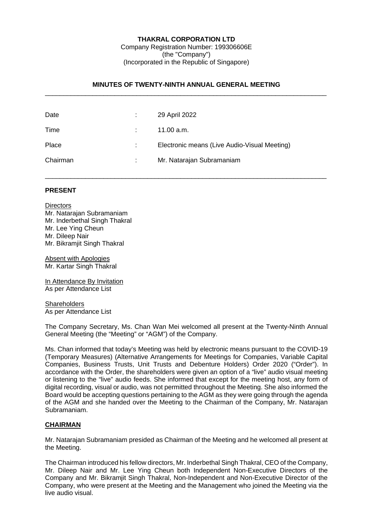## **THAKRAL CORPORATION LTD**

Company Registration Number: 199306606E (the "Company") (Incorporated in the Republic of Singapore)

# **MINUTES OF TWENTY-NINTH ANNUAL GENERAL MEETING** \_\_\_\_\_\_\_\_\_\_\_\_\_\_\_\_\_\_\_\_\_\_\_\_\_\_\_\_\_\_\_\_\_\_\_\_\_\_\_\_\_\_\_\_\_\_\_\_\_\_\_\_\_\_\_\_\_\_\_\_\_\_\_\_\_\_\_\_\_\_\_\_\_\_\_\_\_

\_\_\_\_\_\_\_\_\_\_\_\_\_\_\_\_\_\_\_\_\_\_\_\_\_\_\_\_\_\_\_\_\_\_\_\_\_\_\_\_\_\_\_\_\_\_\_\_\_\_\_\_\_\_\_\_\_\_\_\_\_\_\_\_\_\_\_\_\_\_\_\_\_\_\_\_\_

| Date     |                            | 29 April 2022                                |
|----------|----------------------------|----------------------------------------------|
| Time     |                            | 11.00 a.m.                                   |
| Place    |                            | Electronic means (Live Audio-Visual Meeting) |
| Chairman | $\mathcal{L}^{\text{max}}$ | Mr. Natarajan Subramaniam                    |

### **PRESENT**

**Directors** Mr. Natarajan Subramaniam Mr. Inderbethal Singh Thakral Mr. Lee Ying Cheun Mr. Dileep Nair Mr. Bikramjit Singh Thakral

Absent with Apologies Mr. Kartar Singh Thakral

In Attendance By Invitation As per Attendance List

**Shareholders** As per Attendance List

The Company Secretary, Ms. Chan Wan Mei welcomed all present at the Twenty-Ninth Annual General Meeting (the "Meeting" or "AGM") of the Company.

Ms. Chan informed that today's Meeting was held by electronic means pursuant to the COVID-19 (Temporary Measures) (Alternative Arrangements for Meetings for Companies, Variable Capital Companies, Business Trusts, Unit Trusts and Debenture Holders) Order 2020 ("Order"). In accordance with the Order, the shareholders were given an option of a "live" audio visual meeting or listening to the "live" audio feeds. She informed that except for the meeting host, any form of digital recording, visual or audio, was not permitted throughout the Meeting. She also informed the Board would be accepting questions pertaining to the AGM as they were going through the agenda of the AGM and she handed over the Meeting to the Chairman of the Company, Mr. Natarajan Subramaniam.

# **CHAIRMAN**

Mr. Natarajan Subramaniam presided as Chairman of the Meeting and he welcomed all present at the Meeting.

The Chairman introduced his fellow directors, Mr. Inderbethal Singh Thakral, CEO of the Company, Mr. Dileep Nair and Mr. Lee Ying Cheun both Independent Non-Executive Directors of the Company and Mr. Bikramjit Singh Thakral, Non-Independent and Non-Executive Director of the Company, who were present at the Meeting and the Management who joined the Meeting via the live audio visual.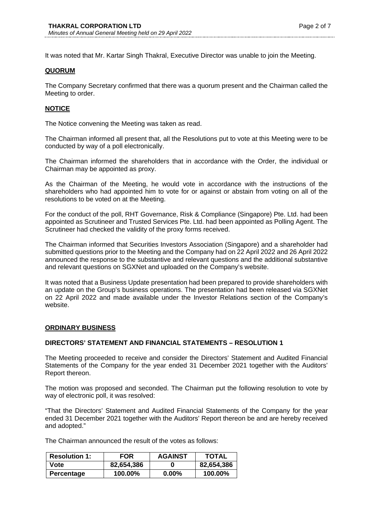It was noted that Mr. Kartar Singh Thakral, Executive Director was unable to join the Meeting.

## **QUORUM**

The Company Secretary confirmed that there was a quorum present and the Chairman called the Meeting to order.

## **NOTICE**

The Notice convening the Meeting was taken as read.

The Chairman informed all present that, all the Resolutions put to vote at this Meeting were to be conducted by way of a poll electronically.

The Chairman informed the shareholders that in accordance with the Order, the individual or Chairman may be appointed as proxy.

As the Chairman of the Meeting, he would vote in accordance with the instructions of the shareholders who had appointed him to vote for or against or abstain from voting on all of the resolutions to be voted on at the Meeting.

For the conduct of the poll, RHT Governance, Risk & Compliance (Singapore) Pte. Ltd. had been appointed as Scrutineer and Trusted Services Pte. Ltd. had been appointed as Polling Agent. The Scrutineer had checked the validity of the proxy forms received.

The Chairman informed that Securities Investors Association (Singapore) and a shareholder had submitted questions prior to the Meeting and the Company had on 22 April 2022 and 26 April 2022 announced the response to the substantive and relevant questions and the additional substantive and relevant questions on SGXNet and uploaded on the Company's website.

It was noted that a Business Update presentation had been prepared to provide shareholders with an update on the Group's business operations. The presentation had been released via SGXNet on 22 April 2022 and made available under the Investor Relations section of the Company's website.

# **ORDINARY BUSINESS**

# **DIRECTORS' STATEMENT AND FINANCIAL STATEMENTS – RESOLUTION 1**

The Meeting proceeded to receive and consider the Directors' Statement and Audited Financial Statements of the Company for the year ended 31 December 2021 together with the Auditors' Report thereon.

The motion was proposed and seconded. The Chairman put the following resolution to vote by way of electronic poll, it was resolved:

"That the Directors' Statement and Audited Financial Statements of the Company for the year ended 31 December 2021 together with the Auditors' Report thereon be and are hereby received and adopted."

The Chairman announced the result of the votes as follows:

| <b>Resolution 1:</b> | <b>FOR</b> | <b>AGAINST</b> | <b>TOTAL</b> |
|----------------------|------------|----------------|--------------|
| Vote                 | 82,654,386 |                | 82,654,386   |
| <b>Percentage</b>    | 100.00%    | $0.00\%$       | 100.00%      |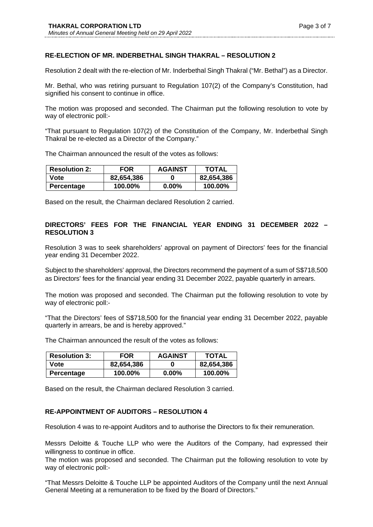# **RE-ELECTION OF MR. INDERBETHAL SINGH THAKRAL – RESOLUTION 2**

Resolution 2 dealt with the re-election of Mr. Inderbethal Singh Thakral ("Mr. Bethal") as a Director.

Mr. Bethal, who was retiring pursuant to Regulation 107(2) of the Company's Constitution, had signified his consent to continue in office.

The motion was proposed and seconded. The Chairman put the following resolution to vote by way of electronic poll:-

"That pursuant to Regulation 107(2) of the Constitution of the Company, Mr. Inderbethal Singh Thakral be re-elected as a Director of the Company."

The Chairman announced the result of the votes as follows:

| <b>Resolution 2:</b> | <b>FOR</b> | <b>AGAINST</b> | TOTAL      |
|----------------------|------------|----------------|------------|
| Vote                 | 82,654,386 |                | 82,654,386 |
| <b>Percentage</b>    | 100.00%    | $0.00\%$       | 100.00%    |

Based on the result, the Chairman declared Resolution 2 carried.

# **DIRECTORS' FEES FOR THE FINANCIAL YEAR ENDING 31 DECEMBER 2022 – RESOLUTION 3**

Resolution 3 was to seek shareholders' approval on payment of Directors' fees for the financial year ending 31 December 2022.

Subject to the shareholders' approval, the Directors recommend the payment of a sum of S\$718,500 as Directors' fees for the financial year ending 31 December 2022, payable quarterly in arrears.

The motion was proposed and seconded. The Chairman put the following resolution to vote by way of electronic poll:-

"That the Directors' fees of S\$718,500 for the financial year ending 31 December 2022, payable quarterly in arrears, be and is hereby approved."

The Chairman announced the result of the votes as follows:

| <b>Resolution 3:</b> | <b>FOR</b> | <b>AGAINST</b> | TOTAL      |
|----------------------|------------|----------------|------------|
| Vote                 | 82,654,386 |                | 82,654,386 |
| <b>Percentage</b>    | 100.00%    | $0.00\%$       | 100.00%    |

Based on the result, the Chairman declared Resolution 3 carried.

# **RE-APPOINTMENT OF AUDITORS – RESOLUTION 4**

Resolution 4 was to re-appoint Auditors and to authorise the Directors to fix their remuneration.

Messrs Deloitte & Touche LLP who were the Auditors of the Company, had expressed their willingness to continue in office.

The motion was proposed and seconded. The Chairman put the following resolution to vote by way of electronic poll:-

"That Messrs Deloitte & Touche LLP be appointed Auditors of the Company until the next Annual General Meeting at a remuneration to be fixed by the Board of Directors."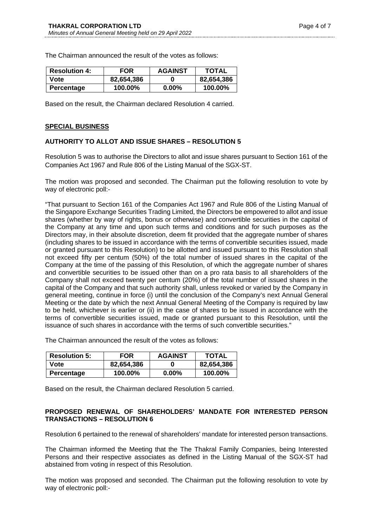The Chairman announced the result of the votes as follows:

| <b>Resolution 4:</b> | <b>FOR</b> | <b>AGAINST</b> | TOTAL      |
|----------------------|------------|----------------|------------|
| Vote                 | 82,654,386 |                | 82,654,386 |
| <b>Percentage</b>    | 100.00%    | $0.00\%$       | 100.00%    |

Based on the result, the Chairman declared Resolution 4 carried.

#### **SPECIAL BUSINESS**

### **AUTHORITY TO ALLOT AND ISSUE SHARES – RESOLUTION 5**

Resolution 5 was to authorise the Directors to allot and issue shares pursuant to Section 161 of the Companies Act 1967 and Rule 806 of the Listing Manual of the SGX-ST.

The motion was proposed and seconded. The Chairman put the following resolution to vote by way of electronic poll:-

"That pursuant to Section 161 of the Companies Act 1967 and Rule 806 of the Listing Manual of the Singapore Exchange Securities Trading Limited, the Directors be empowered to allot and issue shares (whether by way of rights, bonus or otherwise) and convertible securities in the capital of the Company at any time and upon such terms and conditions and for such purposes as the Directors may, in their absolute discretion, deem fit provided that the aggregate number of shares (including shares to be issued in accordance with the terms of convertible securities issued, made or granted pursuant to this Resolution) to be allotted and issued pursuant to this Resolution shall not exceed fifty per centum (50%) of the total number of issued shares in the capital of the Company at the time of the passing of this Resolution, of which the aggregate number of shares and convertible securities to be issued other than on a pro rata basis to all shareholders of the Company shall not exceed twenty per centum (20%) of the total number of issued shares in the capital of the Company and that such authority shall, unless revoked or varied by the Company in general meeting, continue in force (i) until the conclusion of the Company's next Annual General Meeting or the date by which the next Annual General Meeting of the Company is required by law to be held, whichever is earlier or (ii) in the case of shares to be issued in accordance with the terms of convertible securities issued, made or granted pursuant to this Resolution, until the issuance of such shares in accordance with the terms of such convertible securities."

The Chairman announced the result of the votes as follows:

| <b>Resolution 5:</b> | <b>FOR</b> | <b>AGAINST</b> | <b>TOTAL</b> |
|----------------------|------------|----------------|--------------|
| Vote                 | 82,654,386 |                | 82,654,386   |
| <b>Percentage</b>    | 100.00%    | $0.00\%$       | 100.00%      |

Based on the result, the Chairman declared Resolution 5 carried.

### **PROPOSED RENEWAL OF SHAREHOLDERS' MANDATE FOR INTERESTED PERSON TRANSACTIONS – RESOLUTION 6**

Resolution 6 pertained to the renewal of shareholders' mandate for interested person transactions.

The Chairman informed the Meeting that the The Thakral Family Companies, being Interested Persons and their respective associates as defined in the Listing Manual of the SGX-ST had abstained from voting in respect of this Resolution.

The motion was proposed and seconded. The Chairman put the following resolution to vote by way of electronic poll:-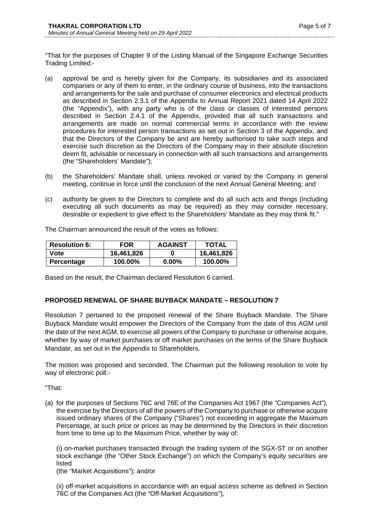"That for the purposes of Chapter 9 of the Listing Manual of the Singapore Exchange Securities Trading Limited:-

- (a) approval be and is hereby given for the Company, its subsidiaries and its associated companies or any of them to enter, in the ordinary course of business, into the transactions and arrangements for the sale and purchase of consumer electronics and electrical products as described in Section 2.3.1 of the Appendix to Annual Report 2021 dated 14 April 2022 (the "Appendix"), with any party who is of the class or classes of interested persons described in Section 2.4.1 of the Appendix, provided that all such transactions and arrangements are made on normal commercial terms in accordance with the review procedures for interested person transactions as set out in Section 3 of the Appendix, and that the Directors of the Company be and are hereby authorised to take such steps and exercise such discretion as the Directors of the Company may in their absolute discretion deem fit, advisable or necessary in connection with all such transactions and arrangements (the "Shareholders' Mandate");
- (b) the Shareholders' Mandate shall, unless revoked or varied by the Company in general meeting, continue in force until the conclusion of the next Annual General Meeting; and
- (c) authority be given to the Directors to complete and do all such acts and things (including executing all such documents as may be required) as they may consider necessary, desirable or expedient to give effect to the Shareholders' Mandate as they may think fit."

The Chairman announced the result of the votes as follows:

| <b>Resolution 6:</b> | FOR        | <b>AGAINST</b> | <b>TOTAL</b> |
|----------------------|------------|----------------|--------------|
| Vote                 | 16,461,826 |                | 16,461,826   |
| <b>Percentage</b>    | 100.00%    | $0.00\%$       | 100.00%      |

Based on the result, the Chairman declared Resolution 6 carried.

# **PROPOSED RENEWAL OF SHARE BUYBACK MANDATE – RESOLUTION 7**

Resolution 7 pertained to the proposed renewal of the Share Buyback Mandate. The Share Buyback Mandate would empower the Directors of the Company from the date of this AGM until the date of the next AGM, to exercise all powers of the Company to purchase or otherwise acquire, whether by way of market purchases or off market purchases on the terms of the Share Buyback Mandate, as set out in the Appendix to Shareholders.

The motion was proposed and seconded. The Chairman put the following resolution to vote by way of electronic poll:-

"That:

(a) for the purposes of Sections 76C and 76E of the Companies Act 1967 (the "Companies Act"), the exercise by the Directors of all the powers of the Company to purchase or otherwise acquire issued ordinary shares of the Company ("Shares") not exceeding in aggregate the Maximum Percentage, at such price or prices as may be determined by the Directors in their discretion from time to time up to the Maximum Price, whether by way of:

(i) on-market purchases transacted through the trading system of the SGX-ST or on another stock exchange (the "Other Stock Exchange") on which the Company's equity securities are listed

(the "Market Acquisitions"); and/or

(ii) off-market acquisitions in accordance with an equal access scheme as defined in Section 76C of the Companies Act (the "Off-Market Acquisitions"),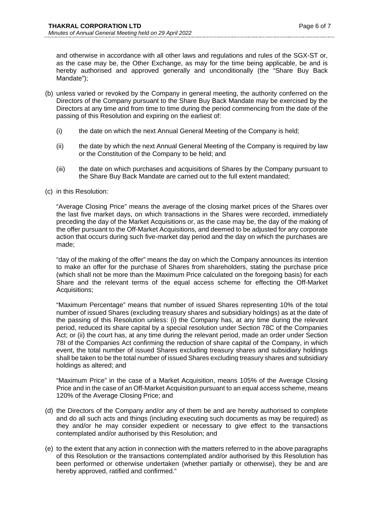and otherwise in accordance with all other laws and regulations and rules of the SGX-ST or, as the case may be, the Other Exchange, as may for the time being applicable, be and is hereby authorised and approved generally and unconditionally (the "Share Buy Back Mandate");

- (b) unless varied or revoked by the Company in general meeting, the authority conferred on the Directors of the Company pursuant to the Share Buy Back Mandate may be exercised by the Directors at any time and from time to time during the period commencing from the date of the passing of this Resolution and expiring on the earliest of:
	- (i) the date on which the next Annual General Meeting of the Company is held;
	- (ii) the date by which the next Annual General Meeting of the Company is required by law or the Constitution of the Company to be held; and
	- (iii) the date on which purchases and acquisitions of Shares by the Company pursuant to the Share Buy Back Mandate are carried out to the full extent mandated;
- (c) in this Resolution:

"Average Closing Price" means the average of the closing market prices of the Shares over the last five market days, on which transactions in the Shares were recorded, immediately preceding the day of the Market Acquisitions or, as the case may be, the day of the making of the offer pursuant to the Off-Market Acquisitions, and deemed to be adjusted for any corporate action that occurs during such five-market day period and the day on which the purchases are made;

"day of the making of the offer" means the day on which the Company announces its intention to make an offer for the purchase of Shares from shareholders, stating the purchase price (which shall not be more than the Maximum Price calculated on the foregoing basis) for each Share and the relevant terms of the equal access scheme for effecting the Off-Market Acquisitions;

"Maximum Percentage" means that number of issued Shares representing 10% of the total number of issued Shares (excluding treasury shares and subsidiary holdings) as at the date of the passing of this Resolution unless: (i) the Company has, at any time during the relevant period, reduced its share capital by a special resolution under Section 78C of the Companies Act; or (ii) the court has, at any time during the relevant period, made an order under Section 78I of the Companies Act confirming the reduction of share capital of the Company, in which event, the total number of issued Shares excluding treasury shares and subsidiary holdings shall be taken to be the total number of issued Shares excluding treasury shares and subsidiary holdings as altered; and

"Maximum Price" in the case of a Market Acquisition, means 105% of the Average Closing Price and in the case of an Off-Market Acquisition pursuant to an equal access scheme, means 120% of the Average Closing Price; and

- (d) the Directors of the Company and/or any of them be and are hereby authorised to complete and do all such acts and things (including executing such documents as may be required) as they and/or he may consider expedient or necessary to give effect to the transactions contemplated and/or authorised by this Resolution; and
- (e) to the extent that any action in connection with the matters referred to in the above paragraphs of this Resolution or the transactions contemplated and/or authorised by this Resolution has been performed or otherwise undertaken (whether partially or otherwise), they be and are hereby approved, ratified and confirmed."